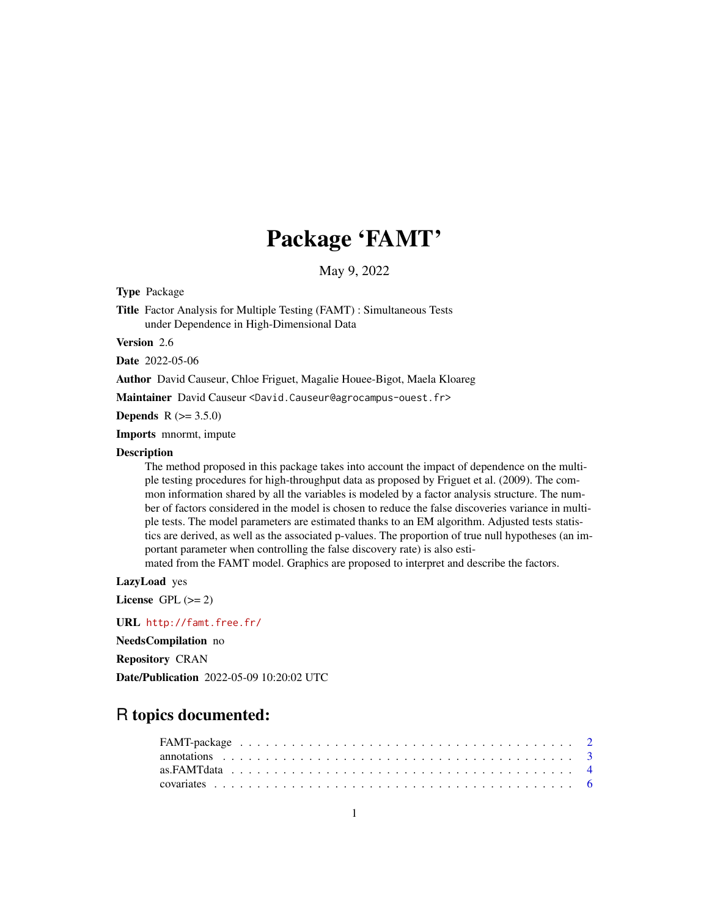# Package 'FAMT'

May 9, 2022

<span id="page-0-0"></span>Type Package

Title Factor Analysis for Multiple Testing (FAMT) : Simultaneous Tests under Dependence in High-Dimensional Data

Version 2.6

Date 2022-05-06

Author David Causeur, Chloe Friguet, Magalie Houee-Bigot, Maela Kloareg

Maintainer David Causeur <David.Causeur@agrocampus-ouest.fr>

**Depends**  $R (= 3.5.0)$ 

Imports mnormt, impute

#### **Description**

The method proposed in this package takes into account the impact of dependence on the multiple testing procedures for high-throughput data as proposed by Friguet et al. (2009). The common information shared by all the variables is modeled by a factor analysis structure. The number of factors considered in the model is chosen to reduce the false discoveries variance in multiple tests. The model parameters are estimated thanks to an EM algorithm. Adjusted tests statistics are derived, as well as the associated p-values. The proportion of true null hypotheses (an important parameter when controlling the false discovery rate) is also esti-

mated from the FAMT model. Graphics are proposed to interpret and describe the factors.

LazyLoad yes

License GPL  $(>= 2)$ 

URL <http://famt.free.fr/>

NeedsCompilation no

Repository CRAN

Date/Publication 2022-05-09 10:20:02 UTC

# R topics documented: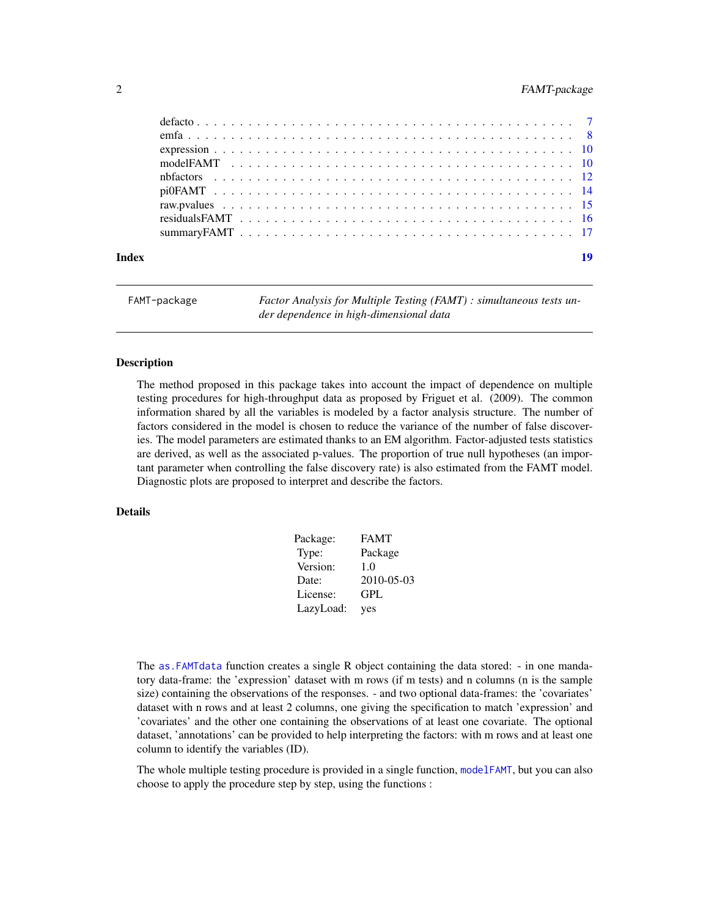# <span id="page-1-0"></span>2 FAMT-package

<span id="page-1-1"></span>

FAMT-package *Factor Analysis for Multiple Testing (FAMT) : simultaneous tests under dependence in high-dimensional data*

#### Description

The method proposed in this package takes into account the impact of dependence on multiple testing procedures for high-throughput data as proposed by Friguet et al. (2009). The common information shared by all the variables is modeled by a factor analysis structure. The number of factors considered in the model is chosen to reduce the variance of the number of false discoveries. The model parameters are estimated thanks to an EM algorithm. Factor-adjusted tests statistics are derived, as well as the associated p-values. The proportion of true null hypotheses (an important parameter when controlling the false discovery rate) is also estimated from the FAMT model. Diagnostic plots are proposed to interpret and describe the factors.

#### Details

| Package:  | <b>FAMT</b> |
|-----------|-------------|
| Type:     | Package     |
| Version:  | 1.0         |
| Date:     | 2010-05-03  |
| License:  | GPL         |
| LazyLoad: | yes         |

The [as.FAMTdata](#page-3-1) function creates a single R object containing the data stored: - in one mandatory data-frame: the 'expression' dataset with m rows (if m tests) and n columns (n is the sample size) containing the observations of the responses. - and two optional data-frames: the 'covariates' dataset with n rows and at least 2 columns, one giving the specification to match 'expression' and 'covariates' and the other one containing the observations of at least one covariate. The optional dataset, 'annotations' can be provided to help interpreting the factors: with m rows and at least one column to identify the variables (ID).

The whole multiple testing procedure is provided in a single function, [modelFAMT](#page-9-1), but you can also choose to apply the procedure step by step, using the functions :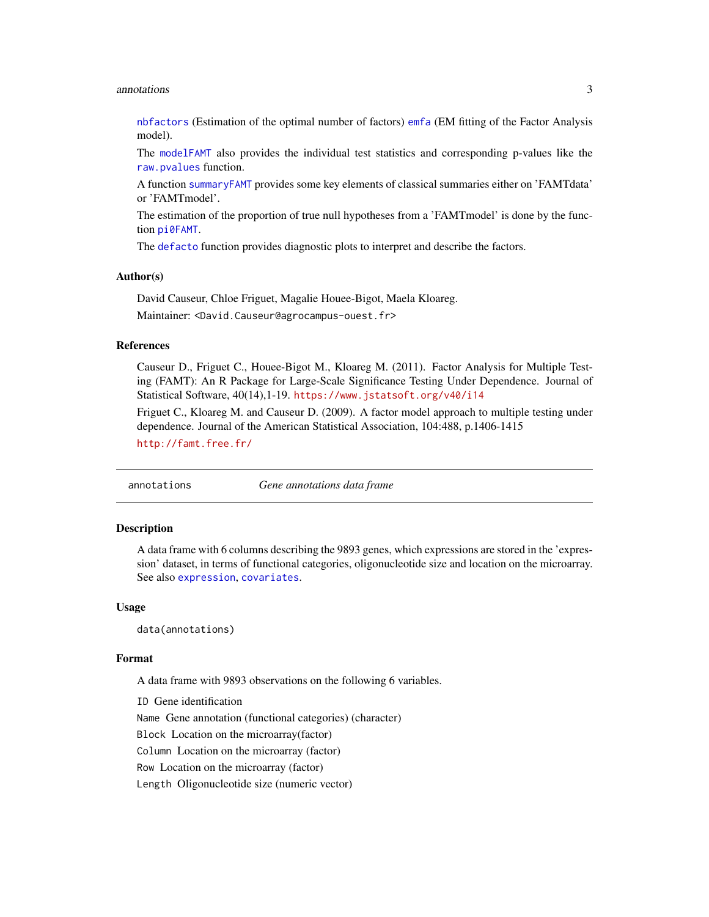#### <span id="page-2-0"></span>annotations 3

[nbfactors](#page-11-1) (Estimation of the optimal number of factors) [emfa](#page-7-1) (EM fitting of the Factor Analysis model).

The [modelFAMT](#page-9-1) also provides the individual test statistics and corresponding p-values like the [raw.pvalues](#page-14-1) function.

A function [summaryFAMT](#page-16-1) provides some key elements of classical summaries either on 'FAMTdata' or 'FAMTmodel'.

The estimation of the proportion of true null hypotheses from a 'FAMTmodel' is done by the function [pi0FAMT](#page-13-1).

The [defacto](#page-6-1) function provides diagnostic plots to interpret and describe the factors.

#### Author(s)

David Causeur, Chloe Friguet, Magalie Houee-Bigot, Maela Kloareg.

Maintainer: <David.Causeur@agrocampus-ouest.fr>

#### References

Causeur D., Friguet C., Houee-Bigot M., Kloareg M. (2011). Factor Analysis for Multiple Testing (FAMT): An R Package for Large-Scale Significance Testing Under Dependence. Journal of Statistical Software, 40(14),1-19. <https://www.jstatsoft.org/v40/i14>

Friguet C., Kloareg M. and Causeur D. (2009). A factor model approach to multiple testing under dependence. Journal of the American Statistical Association, 104:488, p.1406-1415 <http://famt.free.fr/>

<span id="page-2-1"></span>annotations *Gene annotations data frame*

#### Description

A data frame with 6 columns describing the 9893 genes, which expressions are stored in the 'expression' dataset, in terms of functional categories, oligonucleotide size and location on the microarray. See also [expression](#page-9-2), [covariates](#page-5-1).

#### Usage

data(annotations)

#### Format

A data frame with 9893 observations on the following 6 variables.

ID Gene identification Name Gene annotation (functional categories) (character) Block Location on the microarray(factor) Column Location on the microarray (factor) Row Location on the microarray (factor) Length Oligonucleotide size (numeric vector)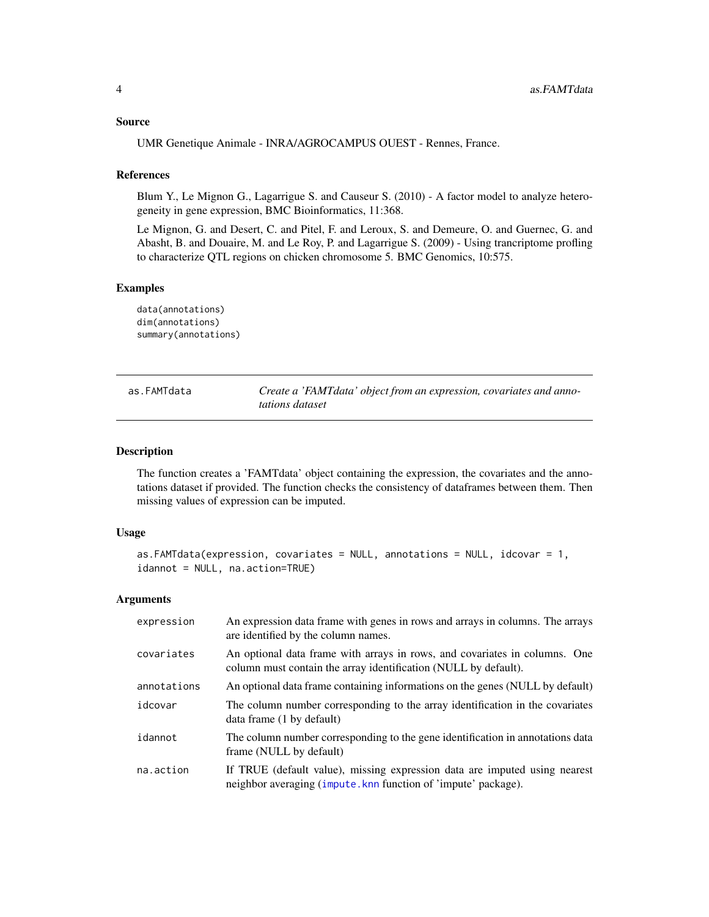#### <span id="page-3-0"></span>Source

UMR Genetique Animale - INRA/AGROCAMPUS OUEST - Rennes, France.

#### **References**

Blum Y., Le Mignon G., Lagarrigue S. and Causeur S. (2010) - A factor model to analyze heterogeneity in gene expression, BMC Bioinformatics, 11:368.

Le Mignon, G. and Desert, C. and Pitel, F. and Leroux, S. and Demeure, O. and Guernec, G. and Abasht, B. and Douaire, M. and Le Roy, P. and Lagarrigue S. (2009) - Using trancriptome profling to characterize QTL regions on chicken chromosome 5. BMC Genomics, 10:575.

# Examples

data(annotations) dim(annotations) summary(annotations)

<span id="page-3-1"></span>as.FAMTdata *Create a 'FAMTdata' object from an expression, covariates and annotations dataset*

#### Description

The function creates a 'FAMTdata' object containing the expression, the covariates and the annotations dataset if provided. The function checks the consistency of dataframes between them. Then missing values of expression can be imputed.

#### Usage

```
as.FAMTdata(expression, covariates = NULL, annotations = NULL, idcovar = 1,
idannot = NULL, na.action=TRUE)
```
# **Arguments**

| expression  | An expression data frame with genes in rows and arrays in columns. The arrays<br>are identified by the column names.                          |
|-------------|-----------------------------------------------------------------------------------------------------------------------------------------------|
| covariates  | An optional data frame with arrays in rows, and covariates in columns. One<br>column must contain the array identification (NULL by default). |
| annotations | An optional data frame containing informations on the genes (NULL by default)                                                                 |
| idcovar     | The column number corresponding to the array identification in the covariates<br>data frame (1 by default)                                    |
| idannot     | The column number corresponding to the gene identification in annotations data<br>frame (NULL by default)                                     |
| na.action   | If TRUE (default value), missing expression data are imputed using nearest<br>neighbor averaging (impute.knn function of 'impute' package).   |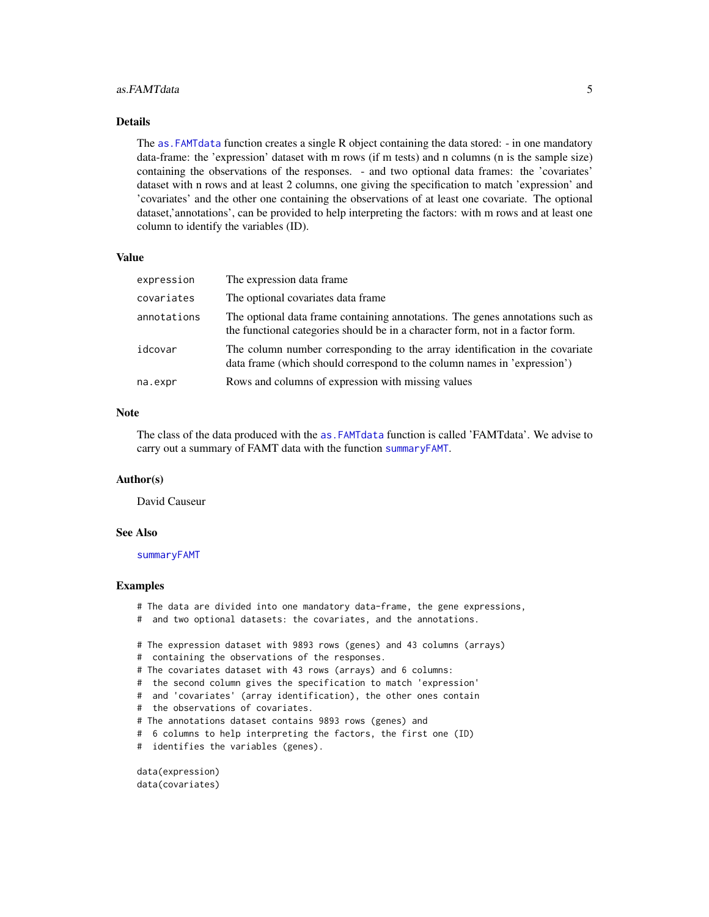#### <span id="page-4-0"></span>as.FAMTdata 5

#### Details

The [as.FAMTdata](#page-3-1) function creates a single R object containing the data stored: - in one mandatory data-frame: the 'expression' dataset with m rows (if m tests) and n columns (n is the sample size) containing the observations of the responses. - and two optional data frames: the 'covariates' dataset with n rows and at least 2 columns, one giving the specification to match 'expression' and 'covariates' and the other one containing the observations of at least one covariate. The optional dataset,'annotations', can be provided to help interpreting the factors: with m rows and at least one column to identify the variables (ID).

# Value

| expression  | The expression data frame                                                                                                                                       |
|-------------|-----------------------------------------------------------------------------------------------------------------------------------------------------------------|
| covariates  | The optional covariates data frame.                                                                                                                             |
| annotations | The optional data frame containing annotations. The genes annotations such as<br>the functional categories should be in a character form, not in a factor form. |
| idcovar     | The column number corresponding to the array identification in the covariate<br>data frame (which should correspond to the column names in 'expression')        |
| na.expr     | Rows and columns of expression with missing values                                                                                                              |

# Note

The class of the data produced with the [as.FAMTdata](#page-3-1) function is called 'FAMTdata'. We advise to carry out a summary of FAMT data with the function [summaryFAMT](#page-16-1).

#### Author(s)

David Causeur

#### See Also

[summaryFAMT](#page-16-1)

#### Examples

- # The data are divided into one mandatory data-frame, the gene expressions,
- # and two optional datasets: the covariates, and the annotations.
- # The expression dataset with 9893 rows (genes) and 43 columns (arrays)
- # containing the observations of the responses.
- # The covariates dataset with 43 rows (arrays) and 6 columns:
- # the second column gives the specification to match 'expression'
- # and 'covariates' (array identification), the other ones contain
- # the observations of covariates.
- # The annotations dataset contains 9893 rows (genes) and
- # 6 columns to help interpreting the factors, the first one (ID)
- # identifies the variables (genes).

data(expression) data(covariates)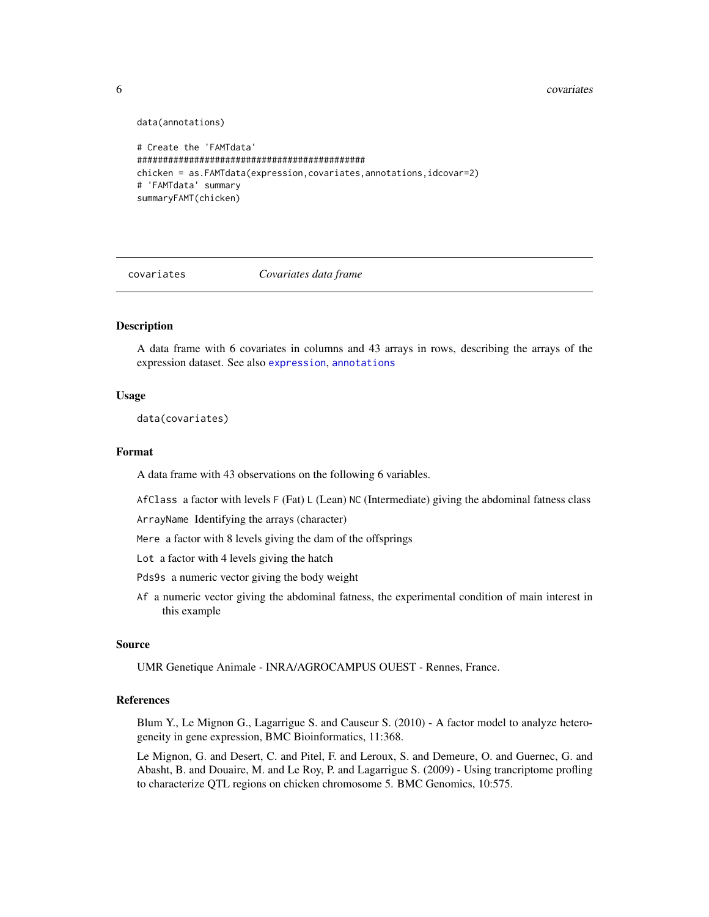#### <span id="page-5-0"></span>6 covariates

data(annotations)

```
# Create the 'FAMTdata'
############################################
chicken = as.FAMTdata(expression,covariates,annotations,idcovar=2)
# 'FAMTdata' summary
summaryFAMT(chicken)
```
<span id="page-5-1"></span>

covariates *Covariates data frame*

#### Description

A data frame with 6 covariates in columns and 43 arrays in rows, describing the arrays of the expression dataset. See also [expression](#page-9-2), [annotations](#page-2-1)

#### Usage

data(covariates)

#### Format

A data frame with 43 observations on the following 6 variables.

AfClass a factor with levels  $F$  (Fat) L (Lean) NC (Intermediate) giving the abdominal fatness class

ArrayName Identifying the arrays (character)

Mere a factor with 8 levels giving the dam of the offsprings

Lot a factor with 4 levels giving the hatch

Pds9s a numeric vector giving the body weight

Af a numeric vector giving the abdominal fatness, the experimental condition of main interest in this example

#### Source

UMR Genetique Animale - INRA/AGROCAMPUS OUEST - Rennes, France.

#### References

Blum Y., Le Mignon G., Lagarrigue S. and Causeur S. (2010) - A factor model to analyze heterogeneity in gene expression, BMC Bioinformatics, 11:368.

Le Mignon, G. and Desert, C. and Pitel, F. and Leroux, S. and Demeure, O. and Guernec, G. and Abasht, B. and Douaire, M. and Le Roy, P. and Lagarrigue S. (2009) - Using trancriptome profling to characterize QTL regions on chicken chromosome 5. BMC Genomics, 10:575.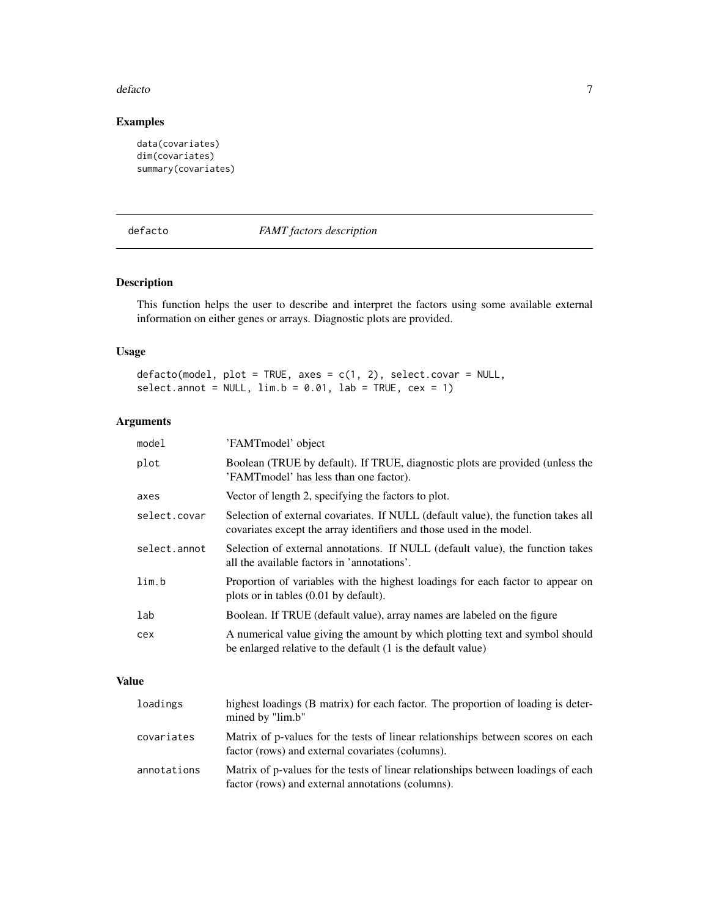#### <span id="page-6-0"></span>defacto and a state of the state of the state of the state of the state of the state of the state of the state of the state of the state of the state of the state of the state of the state of the state of the state of the

# Examples

```
data(covariates)
dim(covariates)
summary(covariates)
```
# <span id="page-6-1"></span>defacto *FAMT factors description*

# Description

This function helps the user to describe and interpret the factors using some available external information on either genes or arrays. Diagnostic plots are provided.

# Usage

```
defacto(model, plot = TRUE, axes = c(1, 2), select.covar = NULL,select.annotation = NULL, lim.b = 0.01, lab = TRUE, cex = 1)
```
# Arguments

| model        | 'FAMTmodel' object                                                                                                                                        |
|--------------|-----------------------------------------------------------------------------------------------------------------------------------------------------------|
| plot         | Boolean (TRUE by default). If TRUE, diagnostic plots are provided (unless the<br>'FAMT model' has less than one factor).                                  |
| axes         | Vector of length 2, specifying the factors to plot.                                                                                                       |
| select.covar | Selection of external covariates. If NULL (default value), the function takes all<br>covariates except the array identifiers and those used in the model. |
| select.annot | Selection of external annotations. If NULL (default value), the function takes<br>all the available factors in 'annotations'.                             |
| lim.b        | Proportion of variables with the highest loadings for each factor to appear on<br>plots or in tables (0.01 by default).                                   |
| lab          | Boolean. If TRUE (default value), array names are labeled on the figure                                                                                   |
| cex          | A numerical value giving the amount by which plotting text and symbol should<br>be enlarged relative to the default (1 is the default value)              |

# Value

| loadings    | highest loadings (B matrix) for each factor. The proportion of loading is deter-<br>mined by "lim.b"                                   |
|-------------|----------------------------------------------------------------------------------------------------------------------------------------|
| covariates  | Matrix of p-values for the tests of linear relationships between scores on each<br>factor (rows) and external covariates (columns).    |
| annotations | Matrix of p-values for the tests of linear relationships between loadings of each<br>factor (rows) and external annotations (columns). |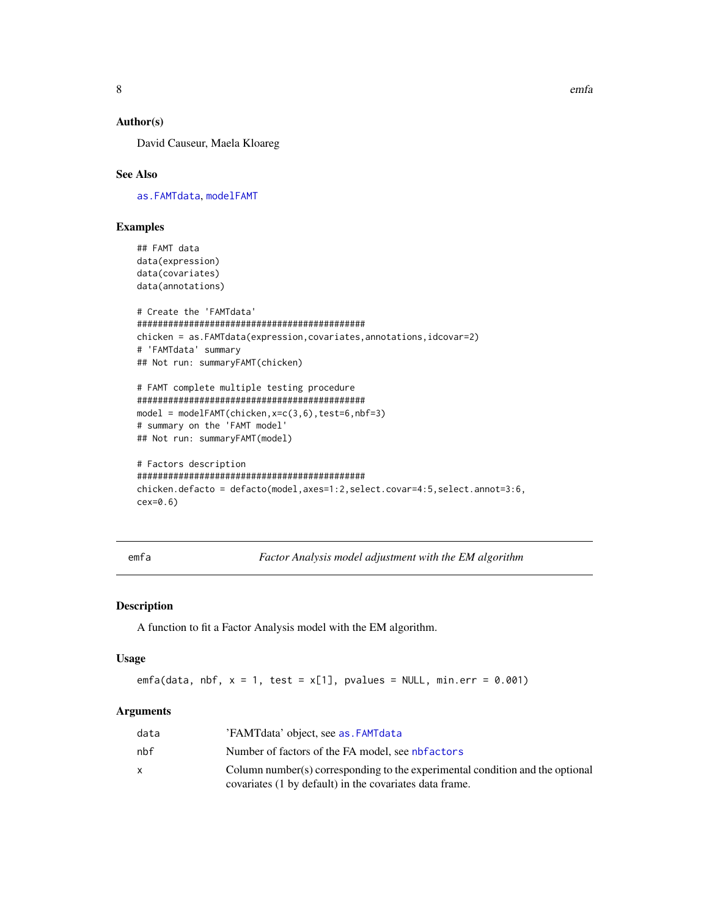# Author(s)

David Causeur, Maela Kloareg

# See Also

[as.FAMTdata](#page-3-1), [modelFAMT](#page-9-1)

# Examples

## FAMT data data(expression) data(covariates) data(annotations)

```
# Create the 'FAMTdata'
############################################
chicken = as.FAMTdata(expression,covariates,annotations,idcovar=2)
# 'FAMTdata' summary
## Not run: summaryFAMT(chicken)
```

```
# FAMT complete multiple testing procedure
############################################
model = modelFAMT(chicken,x=c(3,6),test=6,nbf=3)
# summary on the 'FAMT model'
## Not run: summaryFAMT(model)
```

```
# Factors description
############################################
chicken.defacto = defacto(model,axes=1:2,select.covar=4:5,select.annot=3:6,
cex=0.6)
```
<span id="page-7-1"></span>emfa *Factor Analysis model adjustment with the EM algorithm*

# Description

A function to fit a Factor Analysis model with the EM algorithm.

#### Usage

emfa(data, nbf,  $x = 1$ , test =  $x[1]$ , pvalues = NULL, min.err = 0.001)

# **Arguments**

| data | 'FAMT data' object, see as FAMT data                                          |
|------|-------------------------------------------------------------------------------|
| nbf  | Number of factors of the FA model, see nbfactors                              |
|      | Column number(s) corresponding to the experimental condition and the optional |
|      | covariates (1 by default) in the covariates data frame.                       |

<span id="page-7-0"></span>8 email em 2008 em 2008 em 2008 em 2008 em 2008 em 2008 em 2008 em 2008 em 2008 em 2008 em 2008 em 2008 em 200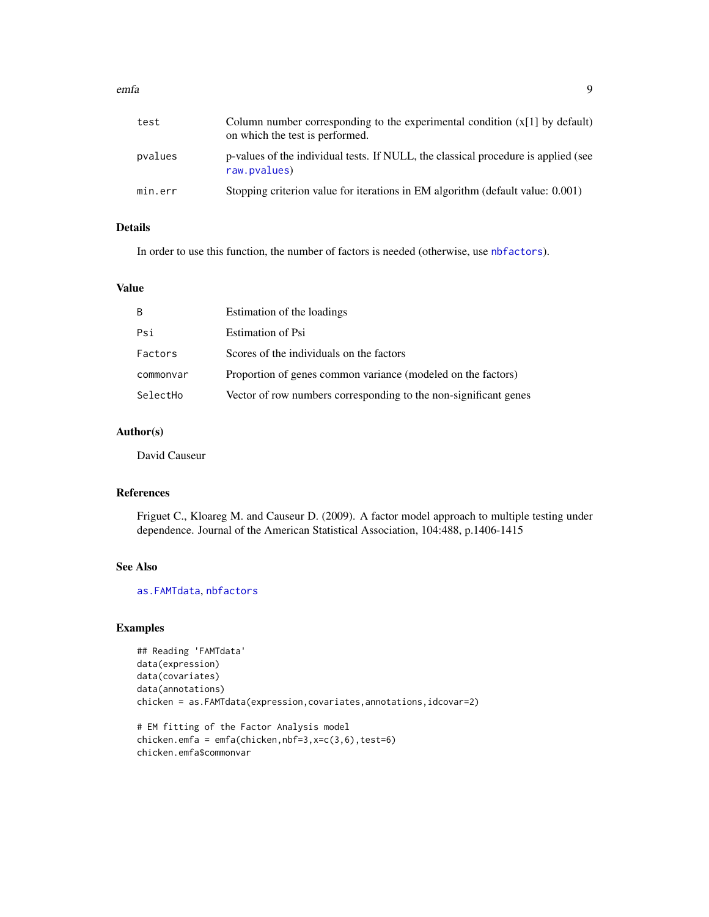#### <span id="page-8-0"></span>emfa 500 % and 500 % and 500 % and 500 % and 500 % and 500 % and 500 % and 500 % and 500 % and 500 % and 500 %

| test    | Column number corresponding to the experimental condition $(x[1]$ by default)<br>on which the test is performed. |
|---------|------------------------------------------------------------------------------------------------------------------|
| pvalues | p-values of the individual tests. If NULL, the classical procedure is applied (see<br>raw.pvalues)               |
| min.err | Stopping criterion value for iterations in EM algorithm (default value: 0.001)                                   |

# Details

In order to use this function, the number of factors is needed (otherwise, use [nbfactors](#page-11-1)).

# Value

| B         | Estimation of the loadings                                       |
|-----------|------------------------------------------------------------------|
| Psi       | Estimation of Psi                                                |
| Factors   | Scores of the individuals on the factors                         |
| commonvar | Proportion of genes common variance (modeled on the factors)     |
| SelectHo  | Vector of row numbers corresponding to the non-significant genes |

# Author(s)

David Causeur

# References

Friguet C., Kloareg M. and Causeur D. (2009). A factor model approach to multiple testing under dependence. Journal of the American Statistical Association, 104:488, p.1406-1415

# See Also

[as.FAMTdata](#page-3-1), [nbfactors](#page-11-1)

# Examples

```
## Reading 'FAMTdata'
data(expression)
data(covariates)
data(annotations)
chicken = as.FAMTdata(expression,covariates,annotations,idcovar=2)
```

```
# EM fitting of the Factor Analysis model
chicken.emfa = emfa(chicken,nbf=3,x=c(3,6),test=6)
chicken.emfa$commonvar
```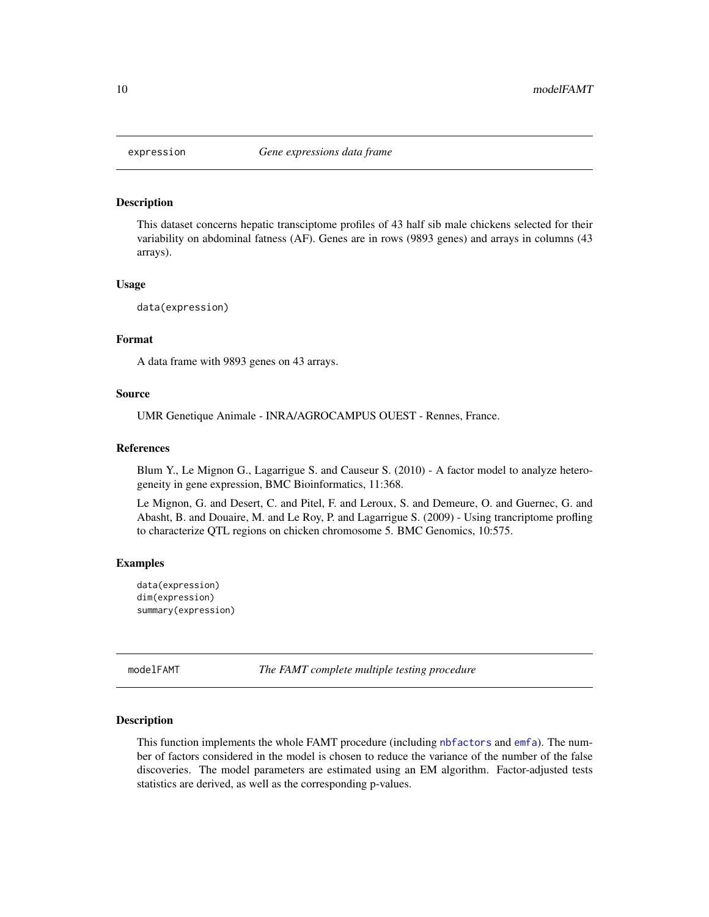<span id="page-9-2"></span><span id="page-9-0"></span>

# **Description**

This dataset concerns hepatic transciptome profiles of 43 half sib male chickens selected for their variability on abdominal fatness (AF). Genes are in rows (9893 genes) and arrays in columns (43 arrays).

#### Usage

data(expression)

#### Format

A data frame with 9893 genes on 43 arrays.

#### Source

UMR Genetique Animale - INRA/AGROCAMPUS OUEST - Rennes, France.

#### References

Blum Y., Le Mignon G., Lagarrigue S. and Causeur S. (2010) - A factor model to analyze heterogeneity in gene expression, BMC Bioinformatics, 11:368.

Le Mignon, G. and Desert, C. and Pitel, F. and Leroux, S. and Demeure, O. and Guernec, G. and Abasht, B. and Douaire, M. and Le Roy, P. and Lagarrigue S. (2009) - Using trancriptome profling to characterize QTL regions on chicken chromosome 5. BMC Genomics, 10:575.

#### Examples

```
data(expression)
dim(expression)
summary(expression)
```
<span id="page-9-1"></span>modelFAMT *The FAMT complete multiple testing procedure*

#### Description

This function implements the whole FAMT procedure (including [nbfactors](#page-11-1) and [emfa](#page-7-1)). The number of factors considered in the model is chosen to reduce the variance of the number of the false discoveries. The model parameters are estimated using an EM algorithm. Factor-adjusted tests statistics are derived, as well as the corresponding p-values.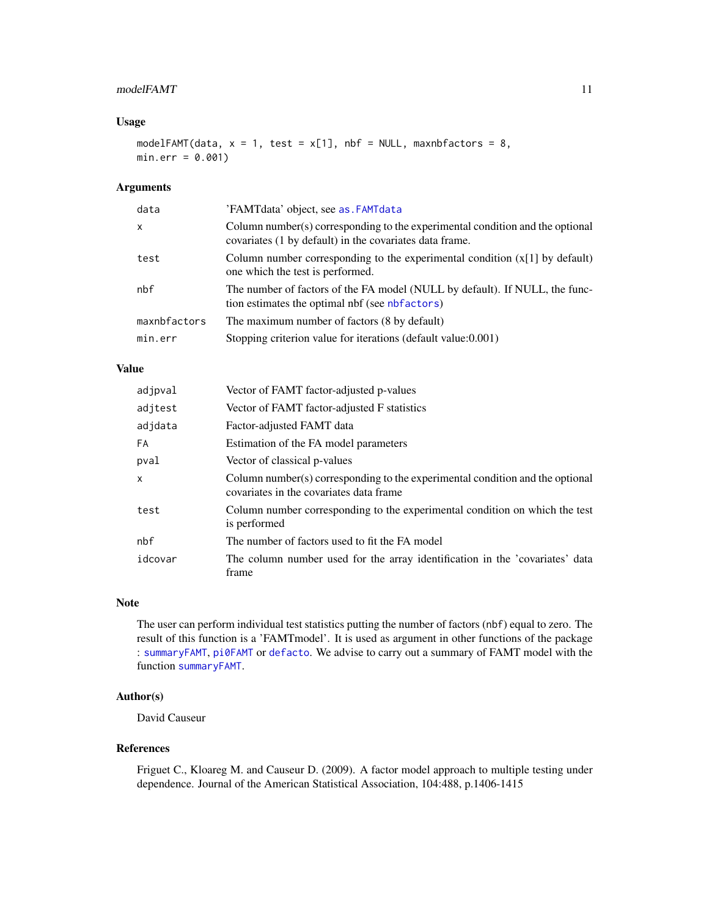# <span id="page-10-0"></span>modelFAMT 11

# Usage

modelFAMT(data,  $x = 1$ , test =  $x[1]$ , nbf = NULL, maxnbfactors = 8,  $min.err = 0.001$ )

# Arguments

| X                                                                         | data | 'FAMTdata' object, see as FAMTdata                                                                                                       |
|---------------------------------------------------------------------------|------|------------------------------------------------------------------------------------------------------------------------------------------|
|                                                                           |      | Column number(s) corresponding to the experimental condition and the optional<br>covariates (1 by default) in the covariates data frame. |
| test<br>one which the test is performed.                                  |      | Column number corresponding to the experimental condition $(x[1]$ by default)                                                            |
| nbf<br>tion estimates the optimal nbf (see nbfactors)                     |      | The number of factors of the FA model (NULL by default). If NULL, the func-                                                              |
| maxnbfactors<br>The maximum number of factors (8 by default)              |      |                                                                                                                                          |
| Stopping criterion value for iterations (default value: 0.001)<br>min.err |      |                                                                                                                                          |

# Value

| adjpval      | Vector of FAMT factor-adjusted p-values                                                                                  |
|--------------|--------------------------------------------------------------------------------------------------------------------------|
| adjtest      | Vector of FAMT factor-adjusted F statistics                                                                              |
| adjdata      | Factor-adjusted FAMT data                                                                                                |
| FA           | Estimation of the FA model parameters                                                                                    |
| pval         | Vector of classical p-values                                                                                             |
| $\mathsf{x}$ | Column number(s) corresponding to the experimental condition and the optional<br>covariates in the covariates data frame |
| test         | Column number corresponding to the experimental condition on which the test<br>is performed                              |
| nbf          | The number of factors used to fit the FA model                                                                           |
| idcovar      | The column number used for the array identification in the 'covariates' data<br>frame                                    |

### Note

The user can perform individual test statistics putting the number of factors (nbf) equal to zero. The result of this function is a 'FAMTmodel'. It is used as argument in other functions of the package : [summaryFAMT](#page-16-1), [pi0FAMT](#page-13-1) or [defacto](#page-6-1). We advise to carry out a summary of FAMT model with the function [summaryFAMT](#page-16-1).

#### Author(s)

David Causeur

#### References

Friguet C., Kloareg M. and Causeur D. (2009). A factor model approach to multiple testing under dependence. Journal of the American Statistical Association, 104:488, p.1406-1415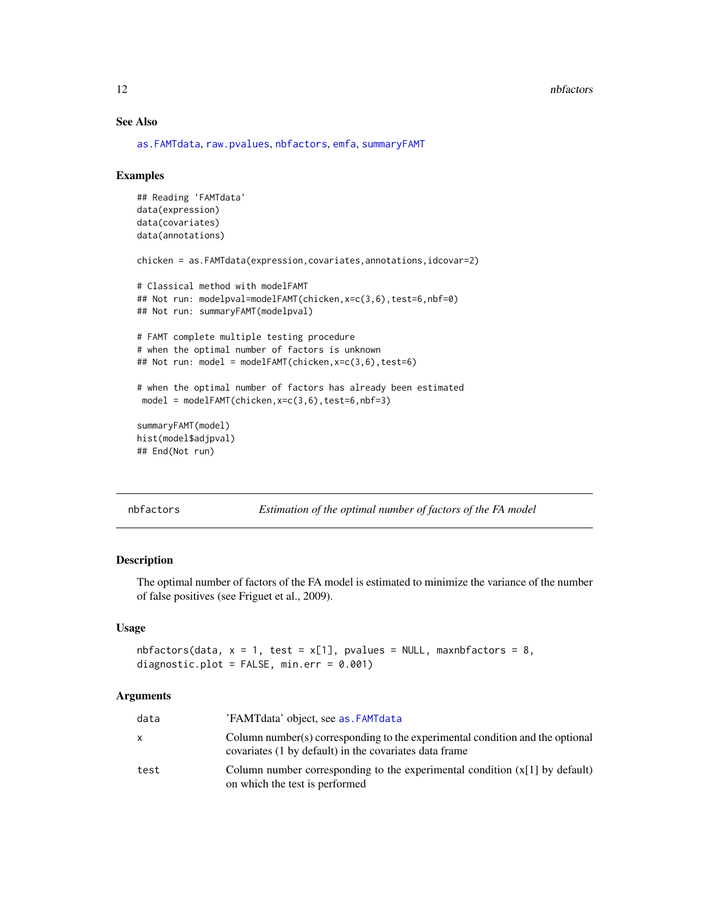#### 12 nbfactors **here**  $\frac{1}{2}$  nbfactors **here**  $\frac{1}{2}$  nbfactors **here**  $\frac{1}{2}$  nbfactors **here**  $\frac{1}{2}$  nbfactors **here**  $\frac{1}{2}$  nbfactors **here**  $\frac{1}{2}$  nbfactors **here**  $\frac{1}{2}$  nbfactors **here**  $\frac{1}{2}$  nbf

# See Also

[as.FAMTdata](#page-3-1), [raw.pvalues](#page-14-1), [nbfactors](#page-11-1), [emfa](#page-7-1), [summaryFAMT](#page-16-1)

#### Examples

```
## Reading 'FAMTdata'
data(expression)
data(covariates)
data(annotations)
chicken = as.FAMTdata(expression,covariates,annotations,idcovar=2)
# Classical method with modelFAMT
## Not run: modelpval=modelFAMT(chicken,x=c(3,6),test=6,nbf=0)
## Not run: summaryFAMT(modelpval)
# FAMT complete multiple testing procedure
# when the optimal number of factors is unknown
## Not run: model = modelFAMT(chicken,x=c(3,6),test=6)
# when the optimal number of factors has already been estimated
model = modelFAMT(chicken,x=c(3,6),test=6,nbf=3)
summaryFAMT(model)
hist(model$adjpval)
## End(Not run)
```
<span id="page-11-1"></span>nbfactors *Estimation of the optimal number of factors of the FA model*

# Description

The optimal number of factors of the FA model is estimated to minimize the variance of the number of false positives (see Friguet et al., 2009).

#### Usage

```
nbfactors(data, x = 1, test = x[1], pvalues = NULL, maxnbfactors = 8,
diagnostic.plot = FALSE, min.err = 0.001)
```
#### **Arguments**

| data         | 'FAMTdata' object, see as. FAMTdata                                                                                                     |
|--------------|-----------------------------------------------------------------------------------------------------------------------------------------|
| $\mathsf{x}$ | Column number(s) corresponding to the experimental condition and the optional<br>covariates (1 by default) in the covariates data frame |
| test         | Column number corresponding to the experimental condition $(x[1]$ by default)<br>on which the test is performed                         |

<span id="page-11-0"></span>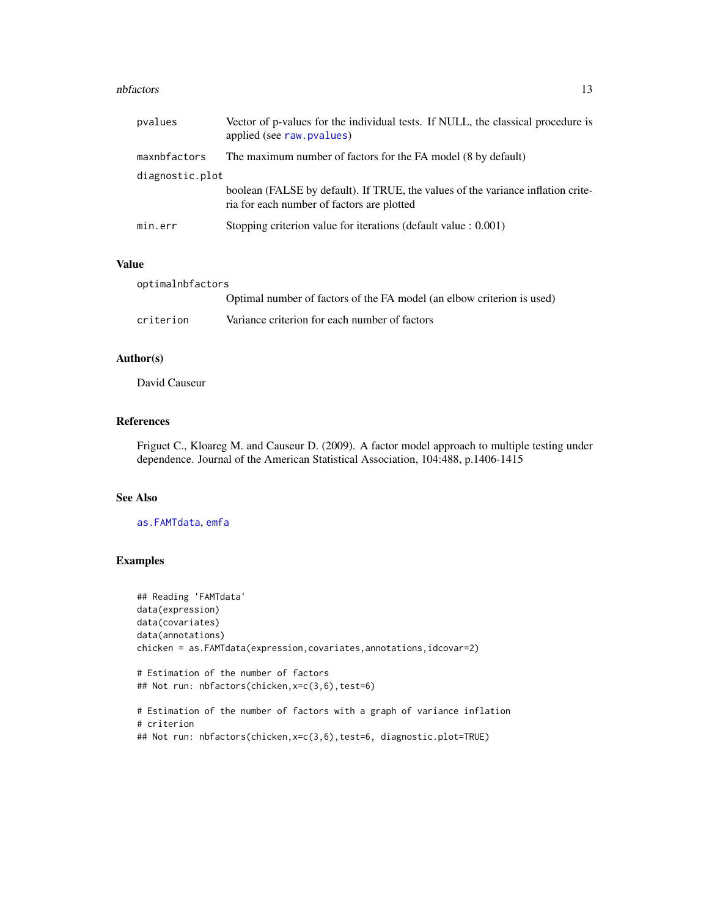#### <span id="page-12-0"></span>nbfactors and the contract of the contract of the contract of the contract of the contract of the contract of the contract of the contract of the contract of the contract of the contract of the contract of the contract of

| pvalues         | Vector of p-values for the individual tests. If NULL, the classical procedure is<br>applied (see raw. pvalues)                 |
|-----------------|--------------------------------------------------------------------------------------------------------------------------------|
| maxnbfactors    | The maximum number of factors for the FA model (8 by default)                                                                  |
| diagnostic.plot |                                                                                                                                |
|                 | boolean (FALSE by default). If TRUE, the values of the variance inflation crite-<br>ria for each number of factors are plotted |
| min.err         | Stopping criterion value for iterations (default value : 0.001)                                                                |

# Value

| optimalnbfactors |                                                                        |
|------------------|------------------------------------------------------------------------|
|                  | Optimal number of factors of the FA model (an elbow criterion is used) |
| criterion        | Variance criterion for each number of factors                          |

# Author(s)

David Causeur

# References

Friguet C., Kloareg M. and Causeur D. (2009). A factor model approach to multiple testing under dependence. Journal of the American Statistical Association, 104:488, p.1406-1415

#### See Also

[as.FAMTdata](#page-3-1), [emfa](#page-7-1)

# Examples

```
## Reading 'FAMTdata'
data(expression)
data(covariates)
data(annotations)
chicken = as.FAMTdata(expression,covariates,annotations,idcovar=2)
# Estimation of the number of factors
## Not run: nbfactors(chicken,x=c(3,6),test=6)
```

```
# Estimation of the number of factors with a graph of variance inflation
# criterion
## Not run: nbfactors(chicken,x=c(3,6),test=6, diagnostic.plot=TRUE)
```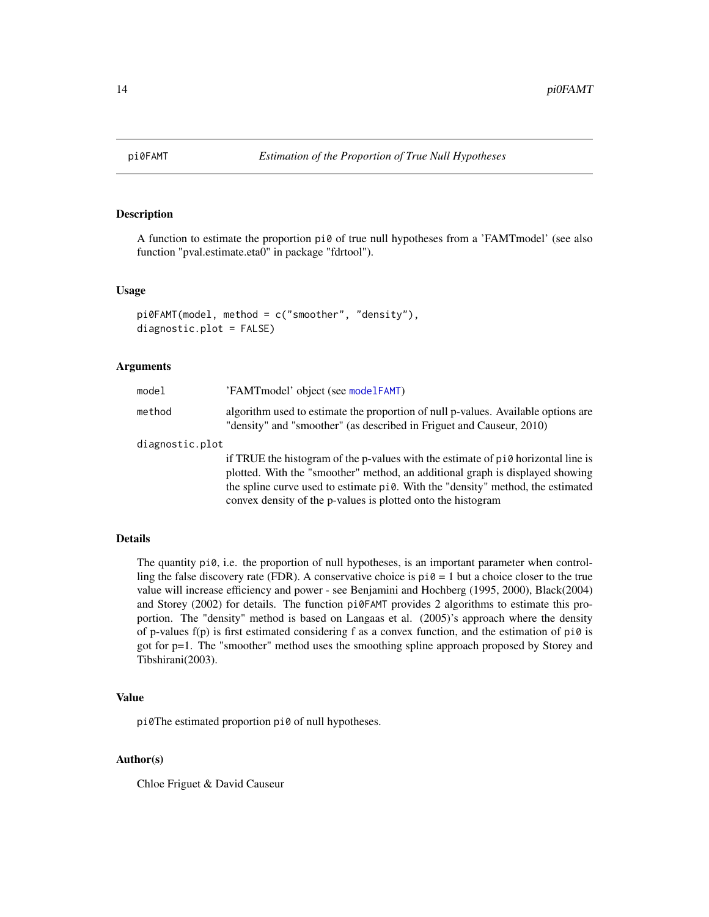<span id="page-13-1"></span><span id="page-13-0"></span>

#### Description

A function to estimate the proportion pi0 of true null hypotheses from a 'FAMTmodel' (see also function "pval.estimate.eta0" in package "fdrtool").

#### Usage

```
pi0FAMT(model, method = c("smoother", "density"),
diagnostic.plot = FALSE)
```
#### Arguments

| model           | 'FAMT model' object (see model FAMT)                                                                                                                      |
|-----------------|-----------------------------------------------------------------------------------------------------------------------------------------------------------|
| method          | algorithm used to estimate the proportion of null p-values. Available options are<br>"density" and "smoother" (as described in Friguet and Causeur, 2010) |
| diagnostic.plot |                                                                                                                                                           |
|                 | $\frac{1}{2}$ TDUE the histogram of the p values with the estimate of pig horizontal line is                                                              |

if TRUE the histogram of the p-values with the estimate of pi0 horizontal line is plotted. With the "smoother" method, an additional graph is displayed showing the spline curve used to estimate pi0. With the "density" method, the estimated convex density of the p-values is plotted onto the histogram

#### Details

The quantity pi0, i.e. the proportion of null hypotheses, is an important parameter when controlling the false discovery rate (FDR). A conservative choice is  $pi = 1$  but a choice closer to the true value will increase efficiency and power - see Benjamini and Hochberg (1995, 2000), Black(2004) and Storey (2002) for details. The function pi0FAMT provides 2 algorithms to estimate this proportion. The "density" method is based on Langaas et al. (2005)'s approach where the density of p-values f(p) is first estimated considering f as a convex function, and the estimation of pi $\theta$  is got for p=1. The "smoother" method uses the smoothing spline approach proposed by Storey and Tibshirani(2003).

#### Value

pi0The estimated proportion pi0 of null hypotheses.

#### Author(s)

Chloe Friguet & David Causeur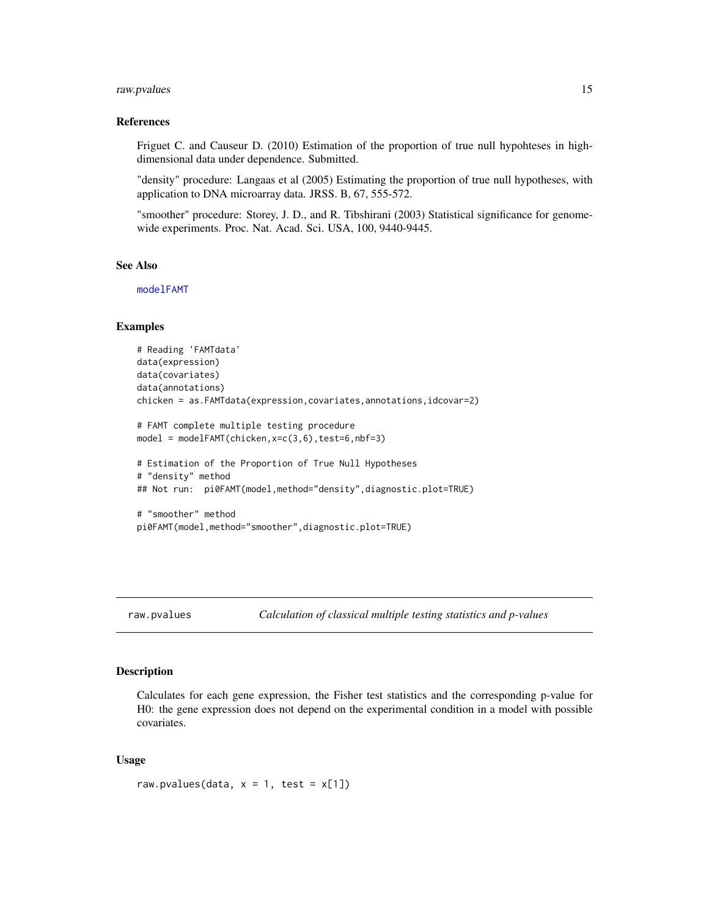#### <span id="page-14-0"></span>raw.pvalues 15

#### References

Friguet C. and Causeur D. (2010) Estimation of the proportion of true null hypohteses in highdimensional data under dependence. Submitted.

"density" procedure: Langaas et al (2005) Estimating the proportion of true null hypotheses, with application to DNA microarray data. JRSS. B, 67, 555-572.

"smoother" procedure: Storey, J. D., and R. Tibshirani (2003) Statistical significance for genomewide experiments. Proc. Nat. Acad. Sci. USA, 100, 9440-9445.

#### See Also

[modelFAMT](#page-9-1)

#### Examples

```
# Reading 'FAMTdata'
data(expression)
data(covariates)
data(annotations)
chicken = as.FAMTdata(expression,covariates,annotations,idcovar=2)
# FAMT complete multiple testing procedure
model = modelFAMT(chicken,x=c(3,6),test=6,nbf=3)
# Estimation of the Proportion of True Null Hypotheses
# "density" method
## Not run: pi0FAMT(model,method="density",diagnostic.plot=TRUE)
# "smoother" method
```
pi0FAMT(model,method="smoother",diagnostic.plot=TRUE)

<span id="page-14-1"></span>raw.pvalues *Calculation of classical multiple testing statistics and p-values*

#### Description

Calculates for each gene expression, the Fisher test statistics and the corresponding p-value for H0: the gene expression does not depend on the experimental condition in a model with possible covariates.

#### Usage

```
raw.pvalues(data, x = 1, test = x[1])
```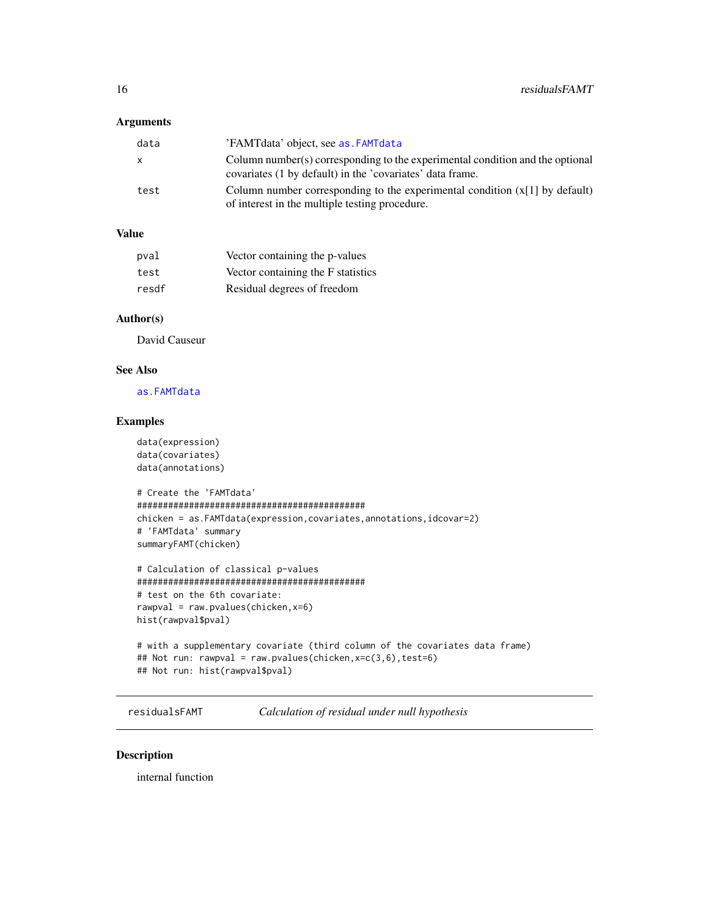# <span id="page-15-0"></span>Arguments

| data | 'FAMTdata' object, see as FAMTdata                                                                                                         |
|------|--------------------------------------------------------------------------------------------------------------------------------------------|
| X    | Column number(s) corresponding to the experimental condition and the optional<br>covariates (1 by default) in the 'covariates' data frame. |
| test | Column number corresponding to the experimental condition $(x[1]$ by default)<br>of interest in the multiple testing procedure.            |

# Value

| pval  | Vector containing the p-values     |
|-------|------------------------------------|
| test  | Vector containing the F statistics |
| resdf | Residual degrees of freedom        |

# Author(s)

David Causeur

# See Also

[as.FAMTdata](#page-3-1)

# Examples

```
data(expression)
data(covariates)
data(annotations)
```

```
# Create the 'FAMTdata'
############################################
chicken = as.FAMTdata(expression,covariates,annotations,idcovar=2)
# 'FAMTdata' summary
summaryFAMT(chicken)
```

```
# Calculation of classical p-values
############################################
# test on the 6th covariate:
rawpval = raw.pvalues(chicken,x=6)
hist(rawpval$pval)
```

```
# with a supplementary covariate (third column of the covariates data frame)
## Not run: rawpval = raw.pvalues(chicken,x=c(3,6),test=6)
## Not run: hist(rawpval$pval)
```
residualsFAMT *Calculation of residual under null hypothesis*

# Description

internal function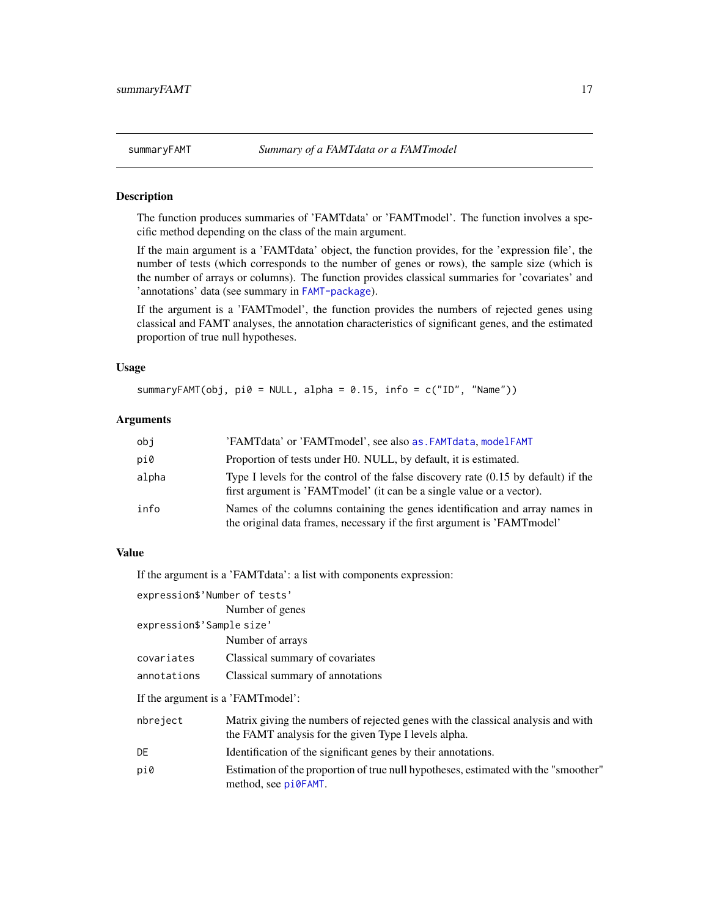<span id="page-16-1"></span><span id="page-16-0"></span>

#### **Description**

The function produces summaries of 'FAMTdata' or 'FAMTmodel'. The function involves a specific method depending on the class of the main argument.

If the main argument is a 'FAMTdata' object, the function provides, for the 'expression file', the number of tests (which corresponds to the number of genes or rows), the sample size (which is the number of arrays or columns). The function provides classical summaries for 'covariates' and 'annotations' data (see summary in [FAMT-package](#page-1-1)).

If the argument is a 'FAMTmodel', the function provides the numbers of rejected genes using classical and FAMT analyses, the annotation characteristics of significant genes, and the estimated proportion of true null hypotheses.

#### Usage

summaryFAMT(obj,  $pi0 = NULL$ , alpha = 0.15, info = c("ID", "Name"))

# Arguments

| obj   | 'FAMTdata' or 'FAMTmodel', see also as . FAMTdata, modelFAMT                                                                                                   |
|-------|----------------------------------------------------------------------------------------------------------------------------------------------------------------|
| pi0   | Proportion of tests under H0. NULL, by default, it is estimated.                                                                                               |
| alpha | Type I levels for the control of the false discovery rate $(0.15$ by default) if the<br>first argument is 'FAMT model' (it can be a single value or a vector). |
| info  | Names of the columns containing the genes identification and array names in<br>the original data frames, necessary if the first argument is 'FAMT model'       |

#### Value

If the argument is a 'FAMTdata': a list with components expression:

expression\$'Number of tests'

Number of genes expression\$'Sample size' Number of arrays covariates Classical summary of covariates annotations Classical summary of annotations If the argument is a 'FAMTmodel': nbreject Matrix giving the numbers of rejected genes with the classical analysis and with the FAMT analysis for the given Type I levels alpha. DE Identification of the significant genes by their annotations. pi0 Estimation of the proportion of true null hypotheses, estimated with the "smoother" method, see [pi0FAMT](#page-13-1).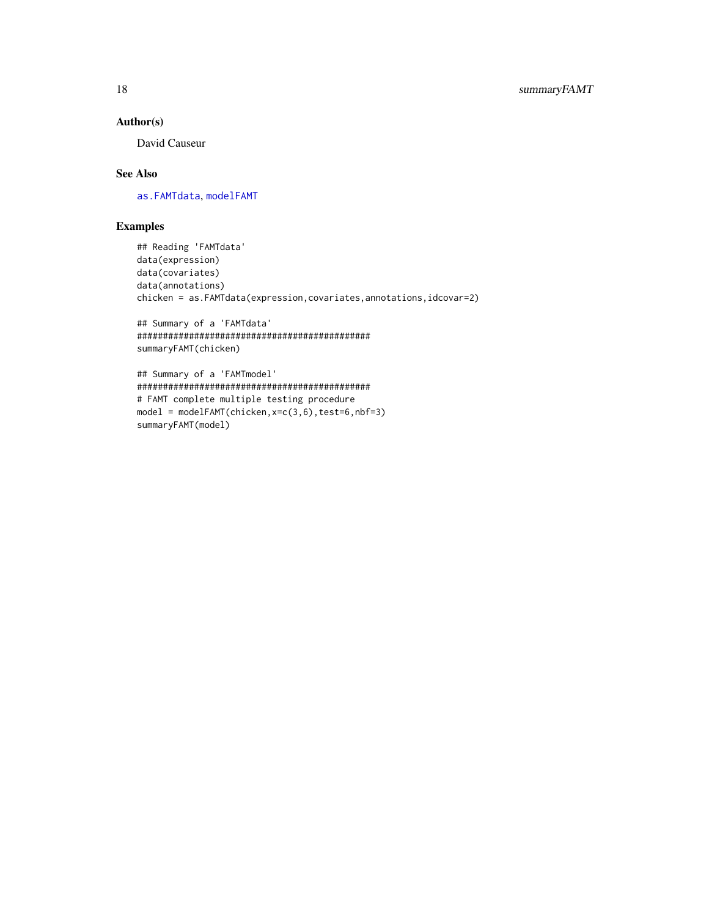# <span id="page-17-0"></span>Author(s)

David Causeur

# See Also

[as.FAMTdata](#page-3-1), [modelFAMT](#page-9-1)

# Examples

```
## Reading 'FAMTdata'
data(expression)
data(covariates)
data(annotations)
chicken = as.FAMTdata(expression,covariates,annotations,idcovar=2)
```

```
## Summary of a 'FAMTdata'
#############################################
summaryFAMT(chicken)
```

```
## Summary of a 'FAMTmodel'
#############################################
# FAMT complete multiple testing procedure
model = modelFAMT(chicken,x=c(3,6),test=6,nbf=3)
summaryFAMT(model)
```